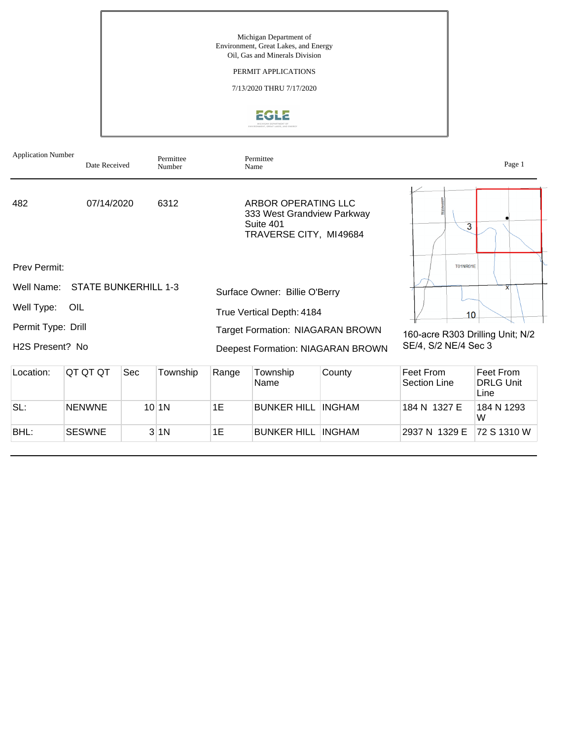Michigan Department of Environment, Great Lakes, and Energy Oil, Gas and Minerals Division

### PERMIT APPLICATIONS

7/13/2020 THRU 7/17/2020



| <b>Application Number</b>    | Date Received               |     | Permittee<br>Number | Permittee<br>Name         | Page 1                                                                                   |                                   |                                  |                                       |  |
|------------------------------|-----------------------------|-----|---------------------|---------------------------|------------------------------------------------------------------------------------------|-----------------------------------|----------------------------------|---------------------------------------|--|
| 482                          | 07/14/2020                  |     | 6312                |                           | ARBOR OPERATING LLC<br>333 West Grandview Parkway<br>Suite 401<br>TRAVERSE CITY, MI49684 |                                   | 3                                |                                       |  |
| Prev Permit:                 | <b>T01NR01E</b>             |     |                     |                           |                                                                                          |                                   |                                  |                                       |  |
| Well Name:                   | <b>STATE BUNKERHILL 1-3</b> |     |                     |                           | Surface Owner: Billie O'Berry                                                            |                                   |                                  | $\mathsf{x}$                          |  |
| Well Type:                   | OIL                         |     |                     | True Vertical Depth: 4184 |                                                                                          |                                   | 10                               |                                       |  |
| Permit Type: Drill           |                             |     |                     |                           | <b>Target Formation: NIAGARAN BROWN</b>                                                  |                                   | 160-acre R303 Drilling Unit; N/2 |                                       |  |
| H <sub>2</sub> S Present? No |                             |     |                     |                           |                                                                                          | Deepest Formation: NIAGARAN BROWN | SE/4, S/2 NE/4 Sec 3             |                                       |  |
| Location:                    | QT QT QT                    | Sec | Township            | Range                     | Township<br>Name                                                                         | County                            | Feet From<br><b>Section Line</b> | Feet From<br><b>DRLG Unit</b><br>Line |  |
| SL:                          | <b>NENWNE</b>               |     | $10$  1N            | 1E                        | <b>BUNKER HILL</b>                                                                       | <b>INGHAM</b>                     | 184 N 1327 E                     | 184 N 1293<br>W                       |  |

BHL: SESWNE 3 1N 1E BUNKER HILL INGHAM 2937 N 1329 E 72 S 1310 W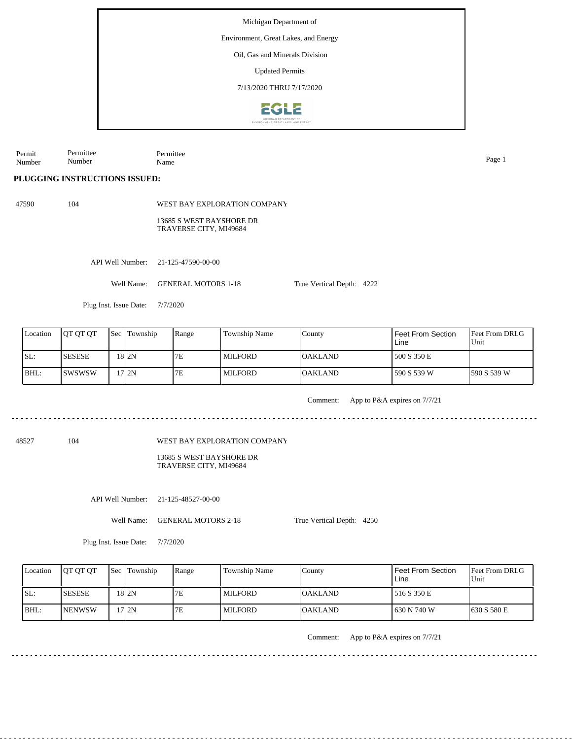Environment, Great Lakes, and Energy

Oil, Gas and Minerals Division

Updated Permits

7/13/2020 THRU 7/17/2020



Permit Number Permittee Number Permittee Name Page 1

**PLUGGING INSTRUCTIONS ISSUED:**

47590 104

WEST BAY EXPLORATION COMPANY

13685 S WEST BAYSHORE DR TRAVERSE CITY, MI49684

API Well Number: 21-125-47590-00-00

Well Name: GENERAL MOTORS 1-18

Plug Inst. Issue Date: 7/7/2020

| Location | <b>OT OT OT</b> | <b>Sec Township</b> | Range | <b>Township Name</b> | Countv         | Feet From Section<br>Line | <b>Feet From DRLG</b><br>Unit |
|----------|-----------------|---------------------|-------|----------------------|----------------|---------------------------|-------------------------------|
| ISL:     | <b>SESESE</b>   | 18 <sub>2N</sub>    | 7E    | MILFORD              | <b>OAKLAND</b> | 500 S 350 E               |                               |
| BHL:     | Iswswsw         | 17 I 2N             | 7E    | <b>MILFORD</b>       | <b>OAKLAND</b> | 590 S 539 W               | 1590 S 539 W                  |

Comment: App to P&A expires on 7/7/21

48527 104

WEST BAY EXPLORATION COMPANY

13685 S WEST BAYSHORE DR TRAVERSE CITY, MI49684

API Well Number: 21-125-48527-00-00

Well Name: GENERAL MOTORS 2-18

True Vertical Depth: 4250

True Vertical Depth: 4222

Plug Inst. Issue Date: 7/7/2020

| Location | <b>OT OT OT</b> | <b>Sec Township</b> | Range | Township Name  | County         | Feet From Section<br>Line | <b>IFeet From DRLG</b><br>l Unit |
|----------|-----------------|---------------------|-------|----------------|----------------|---------------------------|----------------------------------|
| ISL:     | <b>ISESESE</b>  | 18 I 2N             | 7Ε    | <b>MILFORD</b> | <b>OAKLAND</b> | 516 S 350 E               |                                  |
| BHL:     | <b>INENWSW</b>  | 17 I2N              | 7E    | <b>MILFORD</b> | <b>OAKLAND</b> | 630 N 740 W               | 1630 S 580 E                     |

Comment: App to P&A expires on 7/7/21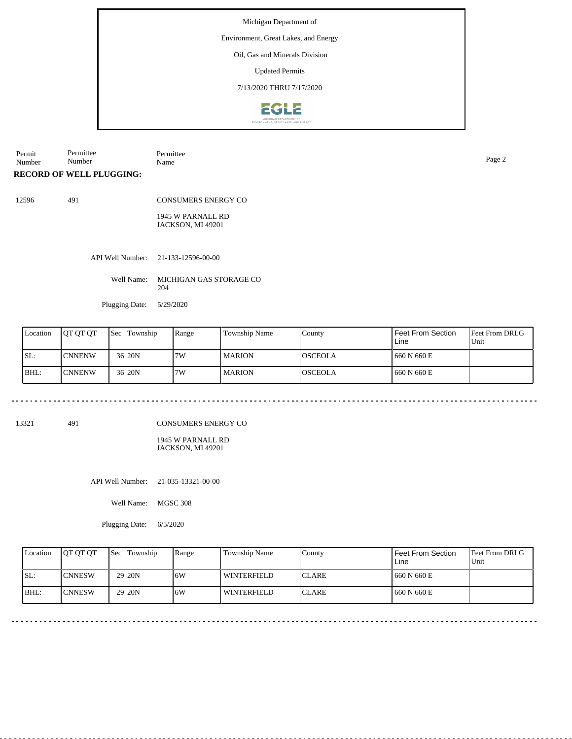Environment, Great Lakes, and Energy

### Oil, Gas and Minerals Division

Updated Permits

7/13/2020 THRU 7/17/2020



Permit Number Permittee Number Permittee Name Page 2

**RECORD OF WELL PLUGGING:**

12596 491

CONSUMERS ENERGY CO

1945 W PARNALL RD JACKSON, MI 49201

API Well Number: 21-133-12596-00-00

Well Name: MICHIGAN GAS STORAGE CO 204

Plugging Date: 5/29/2020

| Location | <b>IOT OT OT</b> | <b>Sec Township</b> | Range | Township Name | County          | Feet From Section<br>Line | <b>Feet From DRLG</b><br>Unit |
|----------|------------------|---------------------|-------|---------------|-----------------|---------------------------|-------------------------------|
| SL:      | <b>CNNENW</b>    | $36$  20N           | 7W    | l MARION      | IOSCEOLA        | 660 N 660 E               |                               |
| BHL:     | <b>ICNNENW</b>   | 36 20N              | 7W    | l MARION      | <b>IOSCEOLA</b> | 660 N 660 E               |                               |

13321 491

CONSUMERS ENERGY CO

1945 W PARNALL RD JACKSON, MI 49201

API Well Number: 21-035-13321-00-00

Well Name: MGSC 308

Plugging Date: 6/5/2020

|      | Location | <b>IOT OT OT</b> | <b>Sec Township</b> | Range | <b>Township Name</b> | County        | Feet From Section<br>Line | <b>Feet From DRLG</b><br>Unit |
|------|----------|------------------|---------------------|-------|----------------------|---------------|---------------------------|-------------------------------|
| ISL: |          | <b>ICNNESW</b>   | 29 <sub>20N</sub>   | 6W    | <b>WINTERFIELD</b>   | <b>ICLARE</b> | 1660 N 660 E              |                               |
| BHL: |          | <b>ICNNESW</b>   | 29 <sub>20N</sub>   | 6W    | <b>WINTERFIELD</b>   | <b>ICLARE</b> | 1660 N 660 E              |                               |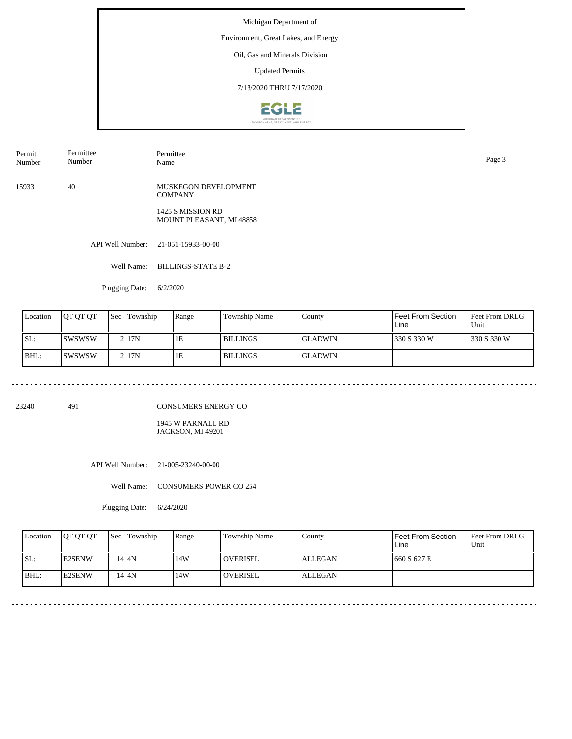Environment, Great Lakes, and Energy

### Oil, Gas and Minerals Division

Updated Permits

7/13/2020 THRU 7/17/2020



Permit Number Permittee Number

Permittee Name Page 3

15933 40 MUSKEGON DEVELOPMENT **COMPANY** 

> 1425 S MISSION RD MOUNT PLEASANT, MI 48858

API Well Number: 21-051-15933-00-00

Well Name: BILLINGS-STATE B-2

Plugging Date: 6/2/2020

| Location | <b>IOT OT OT</b> | Sec | Township           | Range | <b>Township Name</b> | County          | <b>Feet From Section</b><br>Line | <b>IFeet From DRLG</b><br>Unit |
|----------|------------------|-----|--------------------|-------|----------------------|-----------------|----------------------------------|--------------------------------|
| SL:      | <b>SWSWSW</b>    |     | 2117N              | 1E    | <b>BILLINGS</b>      | IGLADWIN        | 330 S 330 W                      | 1330 S 330 W                   |
| IBHL:    | Iswswsw          |     | $2$ <sub>17N</sub> | 1E    | <b>BILLINGS</b>      | <b>IGLADWIN</b> |                                  |                                |

23240 491

CONSUMERS ENERGY CO

1945 W PARNALL RD JACKSON, MI 49201

API Well Number: 21-005-23240-00-00

Well Name: CONSUMERS POWER CO 254

Plugging Date: 6/24/2020

| Location | <b>OT OT OT</b> | <b>Sec</b> Township | Range | Township Name   | Countv  | Feet From Section<br>Line | <b>Feet From DRLG</b><br>Unit |
|----------|-----------------|---------------------|-------|-----------------|---------|---------------------------|-------------------------------|
| ISL:     | <b>E2SENW</b>   | $14$ $4N$           | 14W   | l overisel      | ALLEGAN | 660 S 627 E               |                               |
| BHL:     | <b>IE2SENW</b>  | $14$ $4N$           | 14W   | <b>OVERISEL</b> | ALLEGAN |                           |                               |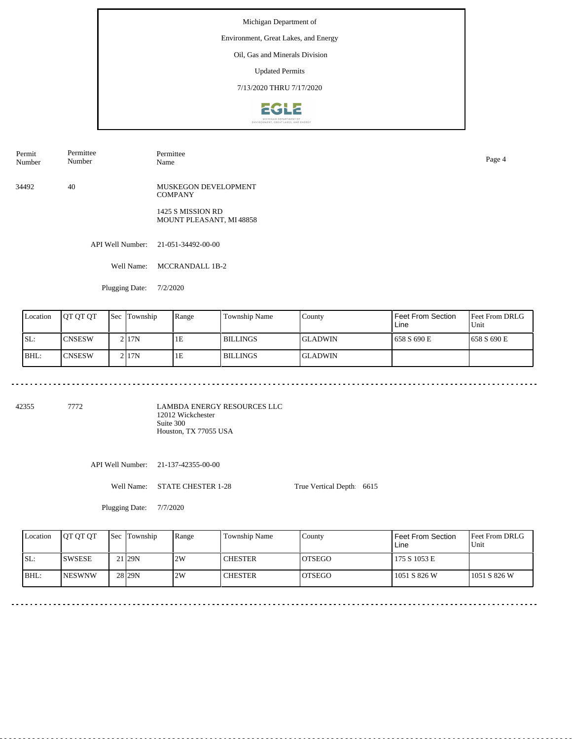Environment, Great Lakes, and Energy

### Oil, Gas and Minerals Division

Updated Permits

7/13/2020 THRU 7/17/2020



Permit Number Permittee Number

34492 40 MUSKEGON DEVELOPMENT **COMPANY** 

> 1425 S MISSION RD MOUNT PLEASANT, MI 48858

API Well Number: 21-051-34492-00-00

Well Name: MCCRANDALL 1B-2

Permittee

Plugging Date: 7/2/2020

| Location | <b>IOT OT OT</b> | <b>Sec Township</b> | Range | Township Name | County         | Feet From Section<br>Line | Feet From DRLG<br>Unit |
|----------|------------------|---------------------|-------|---------------|----------------|---------------------------|------------------------|
| SL:      | <b>CNSESW</b>    | 21 <sub>17</sub> N  | 1E    | l BILLINGS    | IGLADWIN       | 1658 S 690 E              | 1658 S 690 E           |
| BHL:     | <b>ICNSESW</b>   | 2117N               | 1E    | l BILLINGS    | <b>GLADWIN</b> |                           |                        |

42355 7772

LAMBDA ENERGY RESOURCES LLC 12012 Wickchester Suite 300 Houston, TX 77055 USA

API Well Number: 21-137-42355-00-00

Well Name: STATE CHESTER 1-28

True Vertical Depth: 6615

Plugging Date: 7/7/2020

|      | Location | <b>IOT OT OT</b> | <b>Sec Township</b> | Range | Township Name  | Countv         | <b>Feet From Section</b><br>Line | <b>Feet From DRLG</b><br>Unit |
|------|----------|------------------|---------------------|-------|----------------|----------------|----------------------------------|-------------------------------|
| ISL: |          | <b>ISWSESE</b>   | 21 <sub>29N</sub>   | 2W    | <b>CHESTER</b> | IOTSEGO        | 175 S 1053 E                     |                               |
| BHL: |          | <b>INESWNW</b>   | 28 <sub>129N</sub>  | 2W    | <b>CHESTER</b> | <b>IOTSEGO</b> | 1051 S 826 W                     | 1051 S 826 W                  |

Name Page 4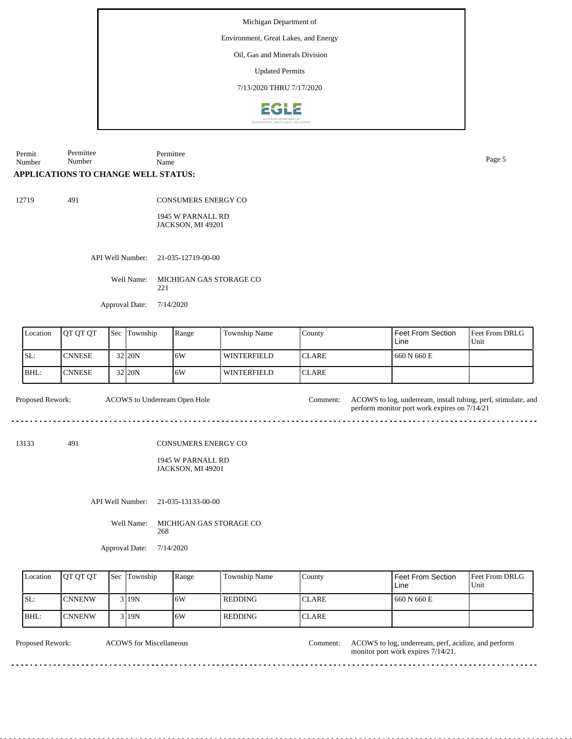Environment, Great Lakes, and Energy

Oil, Gas and Minerals Division

Updated Permits

7/13/2020 THRU 7/17/2020



Permit Number Permittee Number Permittee Name Page 5

### **APPLICATIONS TO CHANGE WELL STATUS:**

12719 491

CONSUMERS ENERGY CO

1945 W PARNALL RD JACKSON, MI 49201

API Well Number: 21-035-12719-00-00

Well Name: MICHIGAN GAS STORAGE CO 221

Approval Date: 7/14/2020

| Location | <b>JOT OT OT</b> | Sec | Township   | Range | Township Name | County        | Feet From Section<br>Line | <b>Feet From DRLG</b><br>Unit |
|----------|------------------|-----|------------|-------|---------------|---------------|---------------------------|-------------------------------|
| SL:      | <b>CNNESE</b>    |     | 32 20N     | 16W   | l winterfield | <b>ICLARE</b> | 660 N 660 E               |                               |
| BHL:     | <b>CNNESE</b>    |     | $32$ $20N$ | 16W   | l winterfield | <b>ICLARE</b> |                           |                               |

Proposed Rework: ACOWS to Underream Open Hole Comment: ACOWS to log, underream, install tubing, perf, stimulate, and ACOWS to Underream Open Hole Comment:

13133 491

CONSUMERS ENERGY CO

1945 W PARNALL RD JACKSON, MI 49201

API Well Number: 21-035-13133-00-00

Well Name: MICHIGAN GAS STORAGE CO 268

Approval Date: 7/14/2020

| Location | <b>IOT OT OT</b> | <b>Sec Township</b> | Range | Township Name | County        | <b>Feet From Section</b><br>Line | <b>Feet From DRLG</b><br>Unit |
|----------|------------------|---------------------|-------|---------------|---------------|----------------------------------|-------------------------------|
| SL:      | <b>ICNNENW</b>   | 3 I 19 N            | 16W   | REDDING       | <b>ICLARE</b> | 1660 N 660 E                     |                               |
| BHL:     | <b>CNNENW</b>    | 3 19N               | 16W   | REDDING       | <b>CLARE</b>  |                                  |                               |

ACOWS for Miscellaneous

Proposed Rework: ACOWS for Miscellaneous Comment: ACOWS to log, underream, perf, acidize, and perform monitor port work expires 7/14/21.

perform monitor port work expires on 7/14/21

<u>. . . . . . . . .</u>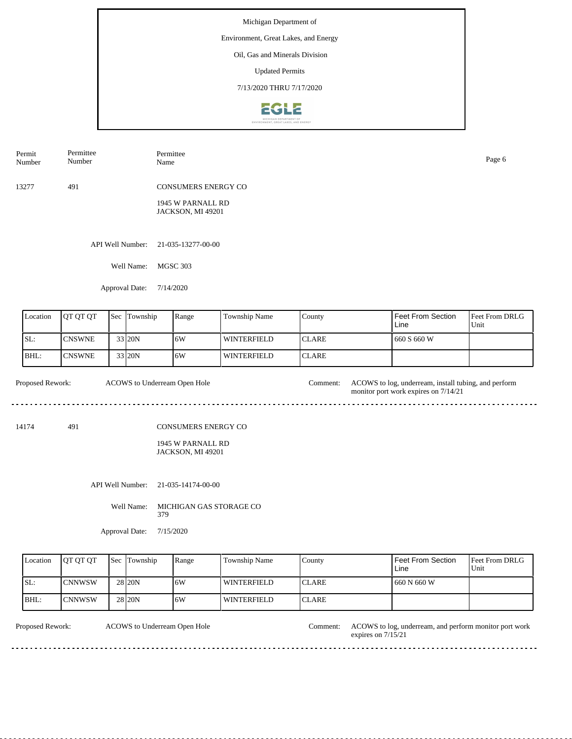Environment, Great Lakes, and Energy

# Oil, Gas and Minerals Division

Updated Permits

7/13/2020 THRU 7/17/2020



| Permit<br>Number | Permittee<br>Number | Permittee<br>Name                                                    | Page 6 |
|------------------|---------------------|----------------------------------------------------------------------|--------|
| 13277            | 491                 | <b>CONSUMERS ENERGY CO</b><br>1945 W PARNALL RD<br>JACKSON, MI 49201 |        |
|                  |                     | API Well Number: 21-035-13277-00-00                                  |        |

Well Name: MGSC 303

Approval Date: 7/14/2020

| Location | <b>IOT OT OT</b> | <b>Sec</b> Township | Range | <b>Township Name</b> | County        | <b>Feet From Section</b><br>Line | <b>Feet From DRLG</b><br>Unit |
|----------|------------------|---------------------|-------|----------------------|---------------|----------------------------------|-------------------------------|
| SL:      | ICNSWNE          | 33 20N              | 16W   | <b>WINTERFIELD</b>   | <b>ICLARE</b> | 660 S 660 W                      |                               |
| BHL:     | ICNSWNE          | 33 20N              | 16W   | l winterfield        | <b>ICLARE</b> |                                  |                               |

| <b>Proposed Rework:</b> | ACOWS to Underream Open Hole | Comment: | ACOWS to log, underream, install tubing, and perform<br>monitor port work expires on 7/14/21 |
|-------------------------|------------------------------|----------|----------------------------------------------------------------------------------------------|
|                         |                              |          |                                                                                              |

14174 491

CONSUMERS ENERGY CO

1945 W PARNALL RD JACKSON, MI 49201

API Well Number: 21-035-14174-00-00

Well Name: MICHIGAN GAS STORAGE CO 379

Approval Date: 7/15/2020

| Location | <b>OT OT OT</b> | <b>Sec Township</b> | Range | Township Name | County        | Feet From Section<br>Line | <b>Feet From DRLG</b><br>l Unit |
|----------|-----------------|---------------------|-------|---------------|---------------|---------------------------|---------------------------------|
| ISL:     | ICNNWSW         | 28 <sub>20N</sub>   | 16W   | l winterfield | <b>ICLARE</b> | 660 N 660 W               |                                 |
| BHL:     | ICNNWSW         | 28 20N              | 16W   | l winterfield | <b>CLARE</b>  |                           |                                 |

ACOWS to Underream Open Hole

Proposed Rework: ACOWS to Underream Open Hole Comment: ACOWS to log, underream, and perform monitor port work expires on 7/15/21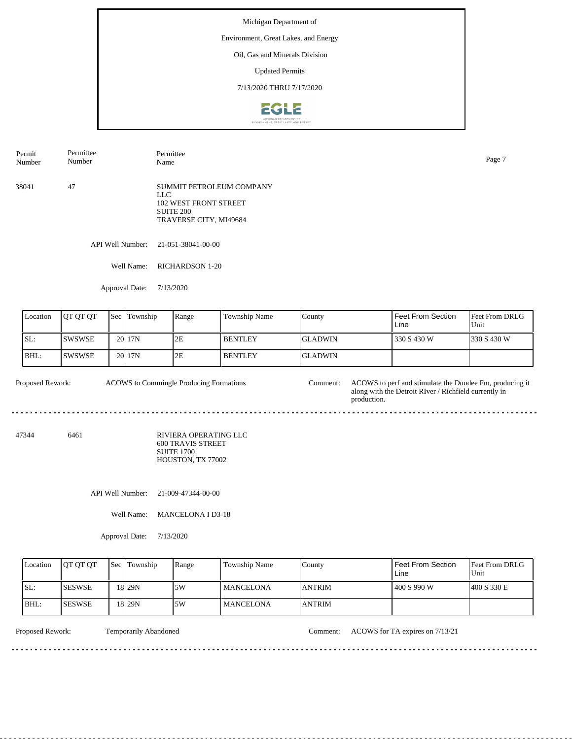Environment, Great Lakes, and Energy

# Oil, Gas and Minerals Division

Updated Permits

7/13/2020 THRU 7/17/2020



| Permit<br>Number | Permittee<br>Number | Permittee<br>Name                                                                                             | Page 7 |
|------------------|---------------------|---------------------------------------------------------------------------------------------------------------|--------|
| 38041            | 47                  | SUMMIT PETROLEUM COMPANY<br>LLC<br><b>102 WEST FRONT STREET</b><br><b>SUITE 200</b><br>TRAVERSE CITY, MI49684 |        |

API Well Number: 21-051-38041-00-00

Well Name: RICHARDSON 1-20

Approval Date: 7/13/2020

| Location | <b>IOT OT OT</b> | <b>Sec</b> | Township          | Range | <b>Township Name</b> | County          | I Feet From Section<br>Line | <b>Feet From DRLG</b><br>Unit |
|----------|------------------|------------|-------------------|-------|----------------------|-----------------|-----------------------------|-------------------------------|
| ISL:     | ISWSWSE.         |            | 20 <sub>17N</sub> | 2E    | <b>BENTLEY</b>       | <b>IGLADWIN</b> | 330 S 430 W                 | 330 S 430 W                   |
| IBHL:    | ISWSWSE.         |            | 20 <sub>17N</sub> | 2E    | <b>BENTLEY</b>       | <b>IGLADWIN</b> |                             |                               |

Proposed Rework: ACOWS to Commingle Producing Formations Comment: ACOWS to perf and stimulate the Dundee Fm, producing it along with the Detroit RIver / Richfield currently in production. ACOWS to Commingle Producing Formations

47344 6461 RIVIERA OPERATING LLC

600 TRAVIS STREET SUITE 1700 HOUSTON, TX 77002

API Well Number: 21-009-47344-00-00

Well Name: MANCELONA I D3-18

Approval Date: 7/13/2020

| Location | <b>IOT OT OT</b> | <b>Sec Township</b> | Range | Township Name     | County         | Feet From Section<br>Line | <b>IFeet From DRLG</b><br>l Unit |
|----------|------------------|---------------------|-------|-------------------|----------------|---------------------------|----------------------------------|
| SL:      | <b>ISESWSE</b>   | 18 29N              | .5W   | <b>IMANCELONA</b> | <b>JANTRIM</b> | 400 S 990 W               | 1400 S 330 E                     |
| BHL:     | ISESWSE          | 18 29 N             | .5W   | <b>IMANCELONA</b> | <b>JANTRIM</b> |                           |                                  |

Proposed Rework: Temporarily Abandoned Comment: ACOWS for TA expires on 7/13/21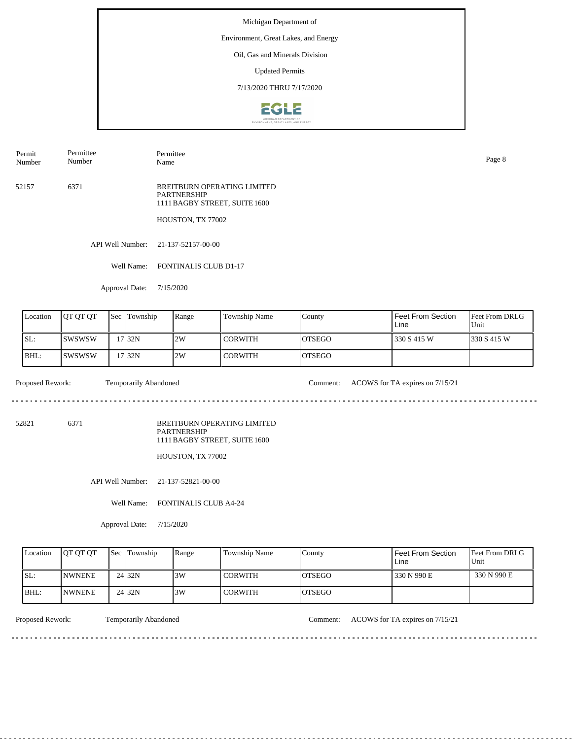Environment, Great Lakes, and Energy

### Oil, Gas and Minerals Division

Updated Permits

7/13/2020 THRU 7/17/2020



Permit Number Permittee Number

Permittee Name Page 8

52157 6371 BREITBURN OPERATING LIMITED PARTNERSHIP 1111 BAGBY STREET, SUITE 1600

HOUSTON, TX 77002

API Well Number: 21-137-52157-00-00

Well Name: FONTINALIS CLUB D1-17

Approval Date: 7/15/2020

| Location | <b>IOT OT OT</b> | 'Sec | Township  | Range | Township Name | County         | Feet From Section<br>Line | <b>Feet From DRLG</b><br>Unit |
|----------|------------------|------|-----------|-------|---------------|----------------|---------------------------|-------------------------------|
| ISL:     | ISWSWSW          |      | 17 I 32 N | 2W    | I CORWITH     | <b>IOTSEGO</b> | 330 S 415 W               | 1330 S 415 W                  |
| IBHL:    | Iswswsw          |      | 17 32N    | 2W    | CORWITH       | <b>IOTSEGO</b> |                           |                               |

 $- - - - - -$ 

Proposed Rework: Temporarily Abandoned Comment: ACOWS for TA expires on  $7/15/21$ 

52821 6371

BREITBURN OPERATING LIMITED PARTNERSHIP 1111 BAGBY STREET, SUITE 1600

HOUSTON, TX 77002

API Well Number: 21-137-52821-00-00

Well Name: FONTINALIS CLUB A4-24

Approval Date: 7/15/2020

| Location | <b>IOT OT OT</b> | <b>Sec Township</b> | Range | Township Name  | County        | Feet From Section<br>Line | <b>Feet From DRLG</b><br>Unit |
|----------|------------------|---------------------|-------|----------------|---------------|---------------------------|-------------------------------|
| ISL:     | <b>INWNENE</b>   | 24 32N              | 3W    | <b>CORWITH</b> | IOTSEGO       | 330 N 990 E               | 330 N 990 E                   |
| IBHL:    | <b>INWNENE</b>   | 24 <sub>32N</sub>   | 3W    | <b>CORWITH</b> | <b>OTSEGO</b> |                           |                               |

<u>. . . . . . . .</u>

Proposed Rework: Temporarily Abandoned Comment: ACOWS for TA expires on 7/15/21

. . . . . . . . . . . . . . . . . . . .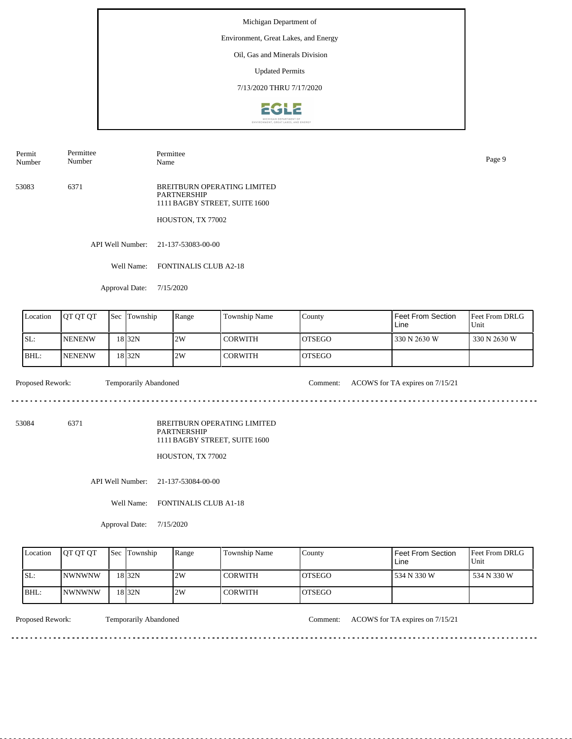#### Environment, Great Lakes, and Energy

### Oil, Gas and Minerals Division

Updated Permits

7/13/2020 THRU 7/17/2020



Permit Number Permittee Number

Permittee Name Page 9

53083 6371 BREITBURN OPERATING LIMITED PARTNERSHIP 1111 BAGBY STREET, SUITE 1600

HOUSTON, TX 77002

API Well Number: 21-137-53083-00-00

Well Name: FONTINALIS CLUB A2-18

Approval Date: 7/15/2020

| Location | <b>IOT OT OT</b> | 'Sec | Township | Range | Township Name | County         | Feet From Section<br>Line | <b>IFeet From DRLG</b><br>Unit |
|----------|------------------|------|----------|-------|---------------|----------------|---------------------------|--------------------------------|
| SL:      | <b>INENENW</b>   |      | 18 32 N  | 2W    | I CORWITH     | IOTSEGO        | 330 N 2630 W              | 330 N 2630 W                   |
| BHL:     | <b>INENENW</b>   |      | 18 32N   | 2W    | I CORWITH     | <b>IOTSEGO</b> |                           |                                |

Proposed Rework: Temporarily Abandoned Comment: ACOWS for TA expires on  $7/15/21$ 

 $\mathcal{L}^{\mathcal{L}}\left( \mathcal{L}^{\mathcal{L}}\left( \mathcal{L}^{\mathcal{L}}\right) \right) =\mathcal{L}^{\mathcal{L}}\left( \mathcal{L}^{\mathcal{L}}\right)$ 

<u>. . . . . . . . . . .</u>

53084 6371

BREITBURN OPERATING LIMITED PARTNERSHIP 1111 BAGBY STREET, SUITE 1600

HOUSTON, TX 77002

API Well Number: 21-137-53084-00-00

Well Name: FONTINALIS CLUB A1-18

Approval Date: 7/15/2020

| Location | <b>IOT OT OT</b> | <b>Sec Township</b> | Range | Township Name  | County         | Feet From Section<br>∟ine | <b>Feet From DRLG</b><br>Unit |
|----------|------------------|---------------------|-------|----------------|----------------|---------------------------|-------------------------------|
| ISL:     | <b>INWNWNW</b>   | 18 <sub>32N</sub>   | 2W    | <b>CORWITH</b> | IOTSEGO        | 534 N 330 W               | 534 N 330 W                   |
| BHL:     | <b>INWNWNW</b>   | 18 <sub>32N</sub>   | 2W    | <b>CORWITH</b> | <b>IOTSEGO</b> |                           |                               |

<u>. . . . . . . .</u>

Proposed Rework: Temporarily Abandoned Comment: ACOWS for TA expires on 7/15/21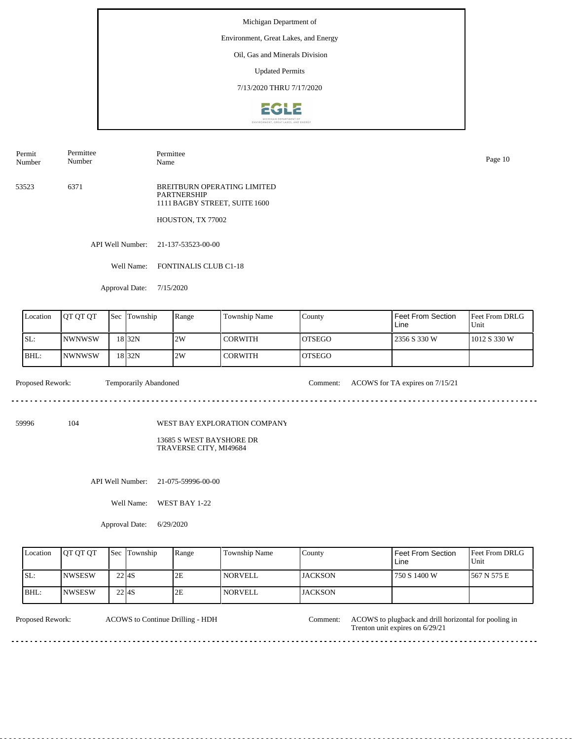#### Environment, Great Lakes, and Energy

### Oil, Gas and Minerals Division

Updated Permits

7/13/2020 THRU 7/17/2020



Permit Number Permittee Number

Permittee Name Page 10

53523 6371 BREITBURN OPERATING LIMITED PARTNERSHIP 1111 BAGBY STREET, SUITE 1600

HOUSTON, TX 77002

API Well Number: 21-137-53523-00-00

Well Name: FONTINALIS CLUB C1-18

Approval Date: 7/15/2020

| Location | <b>IOT OT OT</b> | l Sec | Township          | Range | <b>Township Name</b> | County         | Feet From Section<br>Line | <b>Feet From DRLG</b><br>Unit |
|----------|------------------|-------|-------------------|-------|----------------------|----------------|---------------------------|-------------------------------|
| ISL:     | INWNWSW          |       | 18 <sub>32N</sub> | 2W    | I CORWITH            | <b>IOTSEGO</b> | 2356 S 330 W              | 1012 S 330 W                  |
| $IBHL$ : | INWNWSW          |       | 18 <sub>32N</sub> | 2W    | CORWITH              | <b>IOTSEGO</b> |                           |                               |

 $\omega_{\rm c} = \omega_{\rm c} = \omega_{\rm c} = \omega_{\rm c}$ 

Proposed Rework: Temporarily Abandoned Comment: ACOWS for TA expires on  $7/15/21$ 

59996 104

WEST BAY EXPLORATION COMPANY

13685 S WEST BAYSHORE DR TRAVERSE CITY, MI49684

API Well Number: 21-075-59996-00-00

Well Name: WEST BAY 1-22

Approval Date: 6/29/2020

| Location | <b>OT OT OT</b> |                   | <b>Sec Township</b> | Range | <b>Township Name</b> | County         | Feet From Section<br>∟ine | <b>Feet From DRLG</b><br>Unit |
|----------|-----------------|-------------------|---------------------|-------|----------------------|----------------|---------------------------|-------------------------------|
| ISL:     | <b>INWSESW</b>  | 22 <sub>14S</sub> |                     | 2E    | <i>NORVELL</i>       | <b>JACKSON</b> | 750 S 1400 W              | 1567 N 575 E                  |
| BHL:     | <b>INWSESW</b>  | 22 <sub>14S</sub> |                     | 2E    | <i>NORVELL</i>       | <b>JACKSON</b> |                           |                               |

<u>. . . . . . . . . . .</u>

ACOWS to Continue Drilling - HDH

Proposed Rework: ACOWS to Continue Drilling - HDH Comment: ACOWS to plugback and drill horizontal for pooling in Trenton unit expires on 6/29/21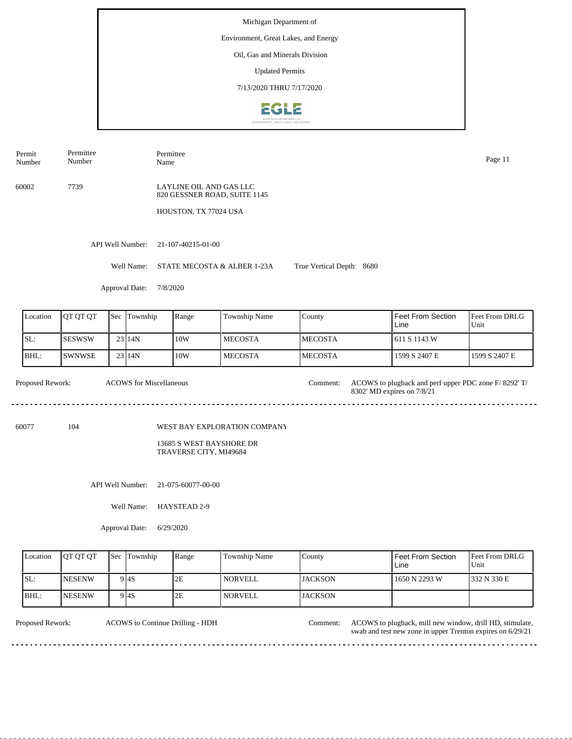#### Environment, Great Lakes, and Energy

# Oil, Gas and Minerals Division

Updated Permits

7/13/2020 THRU 7/17/2020



Permit Number Permittee Number

Permittee Name Page 11

60002 7739

LAYLINE OIL AND GAS LLC 820 GESSNER ROAD, SUITE 1145

HOUSTON, TX 77024 USA

API Well Number: 21-107-40215-01-00

Well Name: STATE MECOSTA & ALBER 1-23A True Vertical Depth: 8680

Approval Date: 7/8/2020

| Location | <b>OT OT OT</b> | <b>Sec</b> | Township | Range | Township Name  | County          | Feet From Section<br>Line | <b>Feet From DRLG</b><br>Unit |
|----------|-----------------|------------|----------|-------|----------------|-----------------|---------------------------|-------------------------------|
| ISL:     | <b>ISESWSW</b>  |            | 23114N   | 10W   | <b>MECOSTA</b> | <b>IMECOSTA</b> | 1611 S 1143 W             |                               |
| BHL:     | <b>SWNWSE</b>   |            | $23$ 14N | 10W   | <b>MECOSTA</b> | <b>IMECOSTA</b> | 1599 S 2407 E             | 1599 S 2407 E                 |

| Proposed Rework: | <b>ACOWS</b> for Miscellaneous | Comment: | ACOWS to plugback and perf upper PDC zone F/8292' T/<br>8302' MD expires on 7/8/21 |
|------------------|--------------------------------|----------|------------------------------------------------------------------------------------|
|                  |                                |          |                                                                                    |

60077 104

WEST BAY EXPLORATION COMPANY

13685 S WEST BAYSHORE DR TRAVERSE CITY, MI49684

API Well Number: 21-075-60077-00-00

Well Name: HAYSTEAD 2-9

Approval Date: 6/29/2020

| Location | <b>IOT OT OT</b> | <b>Sec</b> Township | Range | <b>Township Name</b> | County          | Feet From Section<br>Line | <b>Feet From DRLG</b><br>Unit |
|----------|------------------|---------------------|-------|----------------------|-----------------|---------------------------|-------------------------------|
| ISL:     | <b>INESENW</b>   | 9 I 4 S             | 2E    | <b>NORVELL</b>       | <b>IJACKSON</b> | 1650 N 2293 W             | 1332 N 330 E                  |
| BHL:     | <b>INESENW</b>   | 9 4S                | 2E    | NORVELL              | <b>JACKSON</b>  |                           |                               |

<u>. . . . . . . . .</u>

ACOWS to Continue Drilling - HDH

Proposed Rework: ACOWS to Continue Drilling - HDH Comment: ACOWS to plugback, mill new window, drill HD, stimulate, swab and test new zone in upper Trenton expires on 6/29/21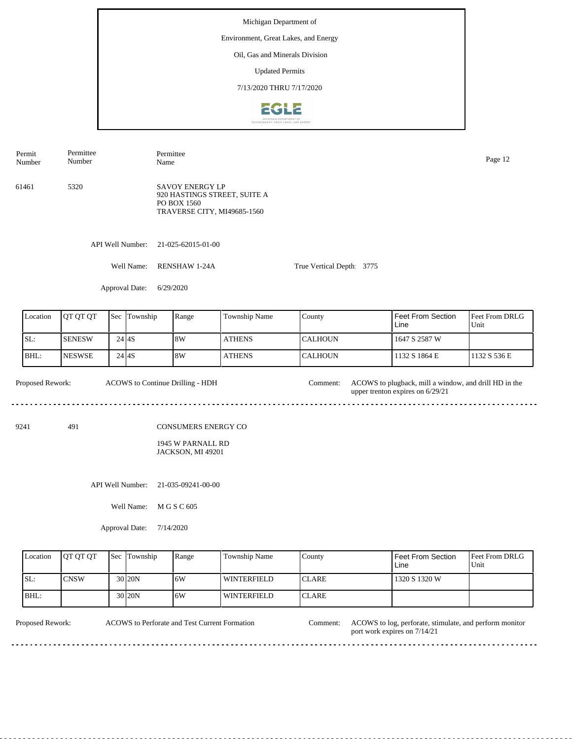Environment, Great Lakes, and Energy

### Oil, Gas and Minerals Division

Updated Permits

7/13/2020 THRU 7/17/2020



API Well Number: 21-025-62015-01-00 61461 5320 SAVOY ENERGY LP 920 HASTINGS STREET, SUITE A PO BOX 1560 TRAVERSE CITY, MI49685-1560 Permit Number Permittee Number Permittee Name Page 12

Well Name: RENSHAW 1-24A

True Vertical Depth: 3775

Approval Date: 6/29/2020

| Location | <b>JOT OT OT</b> |           | <b>Sec Township</b> | Range | <b>Township Name</b> | County           | Feet From Section<br>Line | <b>Feet From DRLG</b><br>Unit |
|----------|------------------|-----------|---------------------|-------|----------------------|------------------|---------------------------|-------------------------------|
| SL:      | <b>I</b> SENESW  | 24 I 4 S  |                     | 8W    | <b>ATHENS</b>        | ICALHOUN         | 1647 S 2587 W             |                               |
| IBHL:    | <b>INESWSE</b>   | $24$ $4S$ |                     | 8W    | <b>ATHENS</b>        | <b>I</b> CALHOUN | 1132 S 1864 E             | 1132 S 536 E                  |

Proposed Rework: ACOWS to Continue Drilling - HDH Comment: ACOWS to plugback, mill a window, and drill HD in the ACOWS to Continue Drilling - HDH Comment: upper trenton expires on 6/29/21 

9241 491

CONSUMERS ENERGY CO

1945 W PARNALL RD JACKSON, MI 49201

API Well Number: 21-035-09241-00-00

Well Name: M G S C 605

Approval Date: 7/14/2020

| Location | <b>IOT OT OT</b> | <b>Sec</b> Township | Range | Township Name | County        | Feet From Section<br>Line | Feet From DRLG<br>Unit |
|----------|------------------|---------------------|-------|---------------|---------------|---------------------------|------------------------|
| SL:      | <b>CNSW</b>      | $30$  20N           | 16W   | l winterfield | <b>ICLARE</b> | 1320 S 1320 W             |                        |
| BHL:     |                  | 30 <sub>120</sub> N | ا 6W  | l winterfield | <b>ICLARE</b> |                           |                        |

<u>. . . . . . . . . . .</u>

ACOWS to Perforate and Test Current Formation

Proposed Rework: ACOWS to Perforate and Test Current Formation Comment: ACOWS to log, perforate, stimulate, and perform monitor port work expires on 7/14/21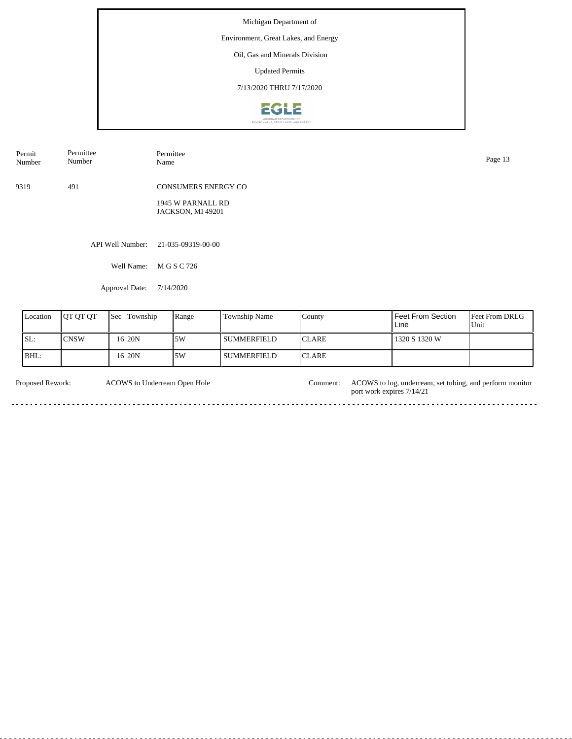Environment, Great Lakes, and Energy

# Oil, Gas and Minerals Division

Updated Permits

7/13/2020 THRU 7/17/2020



| Permit<br>Number | Permittee<br>Number | Permittee<br>Name                      | Page 13 |
|------------------|---------------------|----------------------------------------|---------|
| 9319             | 491                 | <b>CONSUMERS ENERGY CO</b>             |         |
|                  |                     | 1945 W PARNALL RD<br>JACKSON, MI 49201 |         |
|                  |                     |                                        |         |
|                  |                     | API Well Number: 21-035-09319-00-00    |         |

Well Name: M G S C 726

Approval Date: 7/14/2020

| Location | <b>IOT OT OT</b> | <b>Sec Township</b> | Range | <b>Township Name</b> | County        | l Feet From Section<br>Line | <b>Feet From DRLG</b><br>Unit |
|----------|------------------|---------------------|-------|----------------------|---------------|-----------------------------|-------------------------------|
| SL:      | <b>CNSW</b>      | 16 I 20 N           | 5W    | I SUMMERFIELD        | <b>ICLARE</b> | 1320 S 1320 W               |                               |
| IBHL:    |                  | 16 20N              | 5W    | <b>SUMMERFIELD</b>   | <b>ICLARE</b> |                             |                               |

| Proposed Rework: | ACOWS to Underream Open Hole | Comment: | ACOWS to log, underream, set tubing, and perform monitor<br>port work expires 7/14/21 |
|------------------|------------------------------|----------|---------------------------------------------------------------------------------------|
|                  |                              |          |                                                                                       |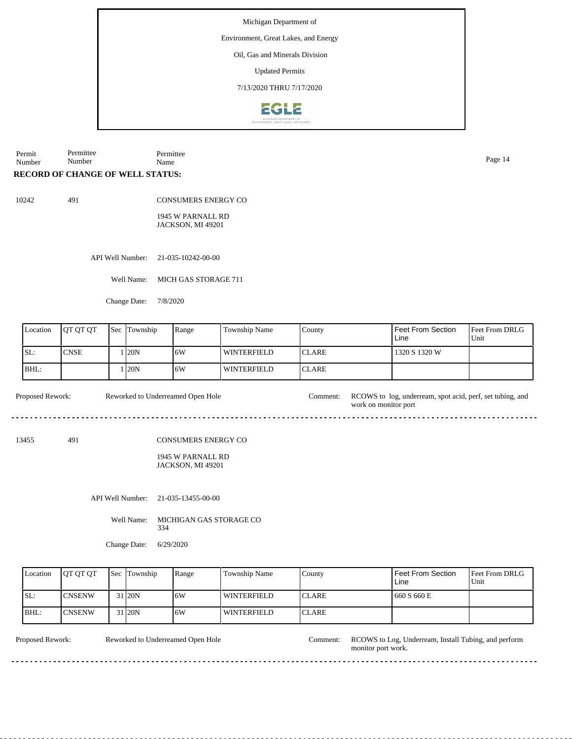Environment, Great Lakes, and Energy

### Oil, Gas and Minerals Division

Updated Permits

7/13/2020 THRU 7/17/2020



Permit Number Permittee Number Permittee Name Page 14

### **RECORD OF CHANGE OF WELL STATUS:**

10242 491

CONSUMERS ENERGY CO

1945 W PARNALL RD JACKSON, MI 49201

API Well Number: 21-035-10242-00-00

Well Name: MICH GAS STORAGE 711

Change Date: 7/8/2020

| Location | <b>IOT OT OT</b> | <b>Sec Township</b> | Range | Township Name      | County        | l Feet From Section<br>Line | <b>Feet From DRLG</b><br>Unit |
|----------|------------------|---------------------|-------|--------------------|---------------|-----------------------------|-------------------------------|
| ISL:     | <b>CNSE</b>      | 120N                | 16W   | <b>WINTERFIELD</b> | <b>ICLARE</b> | 1320 S 1320 W               |                               |
| BHL:     |                  | 120N                | 16W   | <b>WINTERFIELD</b> | ICLARE        |                             |                               |

Proposed Rework: Reworked to Underreamed Open Hole Comment: RCOWS to log, underream, spot acid, perf, set tubing, and work on monitor port Reworked to Underreamed Open Hole

13455 491

CONSUMERS ENERGY CO

#### 1945 W PARNALL RD JACKSON, MI 49201

API Well Number: 21-035-13455-00-00

Well Name: MICHIGAN GAS STORAGE CO 334

Change Date: 6/29/2020

 $\ddotsc$ 

| Location | <b>OT OT OT</b> | <b>Sec Township</b> | Range | <b>Township Name</b> | Countv        | l Feet From Section<br>Line | <b>Feet From DRLG</b><br>Unit |
|----------|-----------------|---------------------|-------|----------------------|---------------|-----------------------------|-------------------------------|
| ISL:     | <b>ICNSENW</b>  | 31 20N              | .6W   | WINTERFIELD          | <b>CLARE</b>  | 660 S 660 E                 |                               |
| IBHL:    | <b>ICNSENW</b>  | 31 <sub>120</sub> N | 6W    | <b>WINTERFIELD</b>   | <b>ICLARE</b> |                             |                               |

<u>. . . . . . . . .</u>

Reworked to Underreamed Open Hole

Proposed Rework: Reworked to Underreamed Open Hole Comment: RCOWS to Log, Underream, Install Tubing, and perform monitor port work.

 $\frac{1}{2}$  .  $\frac{1}{2}$  .  $\frac{1}{2}$  .  $\frac{1}{2}$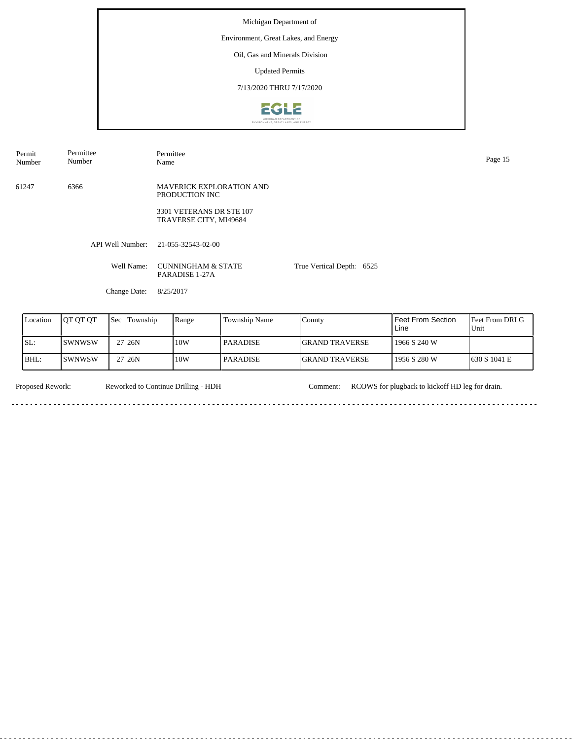Environment, Great Lakes, and Energy

# Oil, Gas and Minerals Division

Updated Permits

7/13/2020 THRU 7/17/2020



61247 6366 MAVERICK EXPLORATION AND PRODUCTION INC 3301 VETERANS DR STE 107 TRAVERSE CITY, MI49684 Permit Number Permittee Number Permittee Name Page 15

API Well Number: 21-055-32543-02-00

Well Name: CUNNINGHAM & STATE PARADISE 1-27A

True Vertical Depth: 6525

Change Date: 8/25/2017

| Location | IOT OT OT | <b>Sec Township</b> | Range | Township Name | County                 | l Feet From Section.<br>Line | <b>IFeet From DRLG</b><br>Unit |
|----------|-----------|---------------------|-------|---------------|------------------------|------------------------------|--------------------------------|
| 'SL:     | ISWNWSW   | 27 26 N             | 10W   | PARADISE      | <b>IGRAND TRAVERSE</b> | 1966 S 240 W                 |                                |
| IBHL:    | ISWNWSW   | 27 <sub>126</sub> N | 10W   | PARADISE      | <b>IGRAND TRAVERSE</b> | l 1956 S 280 W               | 1630 S 1041 E                  |

Reworked to Continue Drilling - HDH

a a

Proposed Rework: Reworked to Continue Drilling - HDH Comment: RCOWS for plugback to kickoff HD leg for drain.